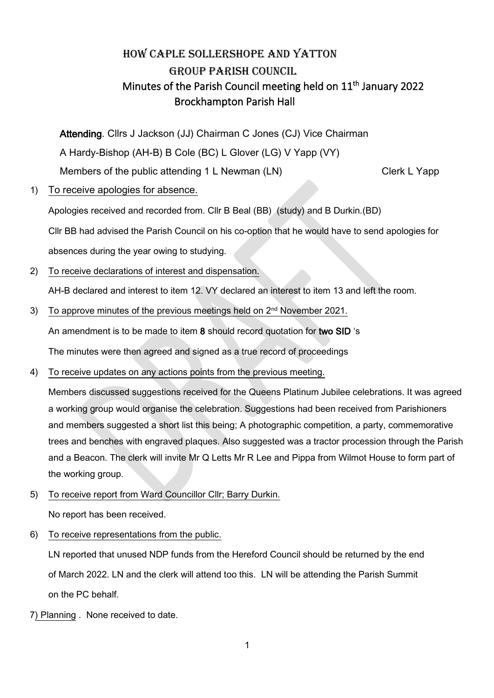# HOW CAPLE SOLLERSHOPE AND YATTON GROUP PARISH COUNCIL Minutes of the Parish Council meeting held on  $11<sup>th</sup>$  January 2022 Brockhampton Parish Hall

Attending. Cllrs J Jackson (JJ) Chairman C Jones (CJ) Vice Chairman A Hardy-Bishop (AH-B) B Cole (BC) L Glover (LG) V Yapp (VY) Members of the public attending 1 L Newman (LN) Clerk L Yapp

1) To receive apologies for absence.

Apologies received and recorded from. Cllr B Beal (BB) (study) and B Durkin.(BD)

Cllr BB had advised the Parish Council on his co-option that he would have to send apologies for

absences during the year owing to studying.

2) To receive declarations of interest and dispensation.

AH-B declared and interest to item 12. VY declared an interest to item 13 and left the room.

3) To approve minutes of the previous meetings held on 2<sup>nd</sup> November 2021.

An amendment is to be made to item 8 should record quotation for two SID 's

The minutes were then agreed and signed as a true record of proceedings

4) To receive updates on any actions points from the previous meeting.

Members discussed suggestions received for the Queens Platinum Jubilee celebrations. It was agreed a working group would organise the celebration. Suggestions had been received from Parishioners and members suggested a short list this being; A photographic competition, a party, commemorative trees and benches with engraved plaques. Also suggested was a tractor procession through the Parish and a Beacon. The clerk will invite Mr Q Letts Mr R Lee and Pippa from Wilmot House to form part of the working group.

5) To receive report from Ward Councillor Cllr; Barry Durkin.

No report has been received.

6) To receive representations from the public.

LN reported that unused NDP funds from the Hereford Council should be returned by the end of March 2022. LN and the clerk will attend too this. LN will be attending the Parish Summit on the PC behalf.

7) Planning . None received to date.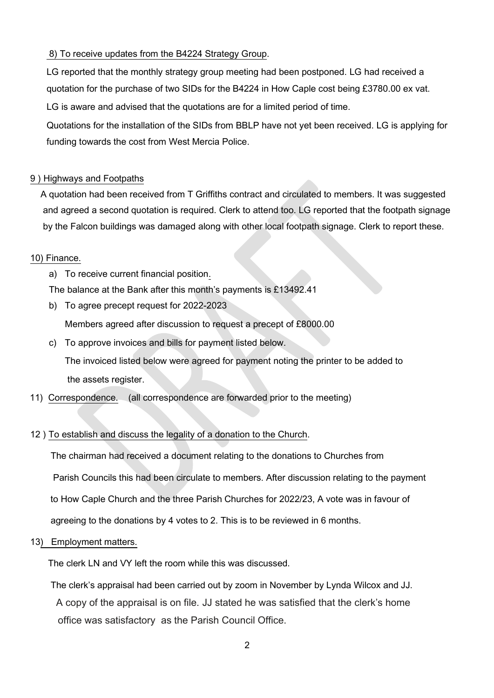## 8) To receive updates from the B4224 Strategy Group.

LG reported that the monthly strategy group meeting had been postponed. LG had received a quotation for the purchase of two SIDs for the B4224 in How Caple cost being £3780.00 ex vat.

LG is aware and advised that the quotations are for a limited period of time.

Quotations for the installation of the SIDs from BBLP have not yet been received. LG is applying for funding towards the cost from West Mercia Police.

## 9 ) Highways and Footpaths

 A quotation had been received from T Griffiths contract and circulated to members. It was suggested and agreed a second quotation is required. Clerk to attend too. LG reported that the footpath signage by the Falcon buildings was damaged along with other local footpath signage. Clerk to report these.

### 10) Finance.

a) To receive current financial position.

The balance at the Bank after this month's payments is £13492.41

b) To agree precept request for 2022-2023

Members agreed after discussion to request a precept of £8000.00

c) To approve invoices and bills for payment listed below.

The invoiced listed below were agreed for payment noting the printer to be added to the assets register.

11) Correspondence. (all correspondence are forwarded prior to the meeting)

### 12 ) To establish and discuss the legality of a donation to the Church.

 The chairman had received a document relating to the donations to Churches from Parish Councils this had been circulate to members. After discussion relating to the payment to How Caple Church and the three Parish Churches for 2022/23, A vote was in favour of agreeing to the donations by 4 votes to 2. This is to be reviewed in 6 months.

13) Employment matters.

The clerk LN and VY left the room while this was discussed.

 The clerk's appraisal had been carried out by zoom in November by Lynda Wilcox and JJ. A copy of the appraisal is on file. JJ stated he was satisfied that the clerk's home office was satisfactory as the Parish Council Office.